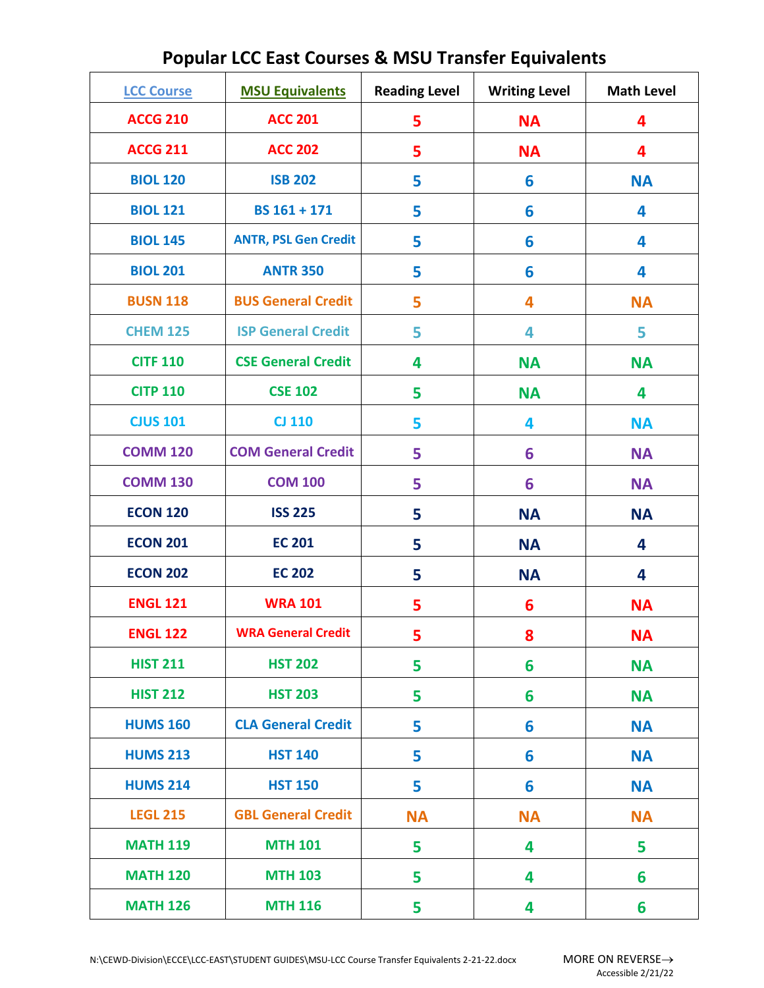| <b>LCC Course</b> | <b>MSU Equivalents</b>      | <b>Reading Level</b> | <b>Writing Level</b> | <b>Math Level</b> |
|-------------------|-----------------------------|----------------------|----------------------|-------------------|
| <b>ACCG 210</b>   | <b>ACC 201</b>              | 5                    | <b>NA</b>            | 4                 |
| <b>ACCG 211</b>   | <b>ACC 202</b>              | 5                    | <b>NA</b>            | 4                 |
| <b>BIOL 120</b>   | <b>ISB 202</b>              | 5                    | 6                    | <b>NA</b>         |
| <b>BIOL 121</b>   | BS 161 + 171                | 5                    | 6                    | 4                 |
| <b>BIOL 145</b>   | <b>ANTR, PSL Gen Credit</b> | 5                    | 6                    | 4                 |
| <b>BIOL 201</b>   | <b>ANTR 350</b>             | 5                    | 6                    | 4                 |
| <b>BUSN 118</b>   | <b>BUS General Credit</b>   | 5                    | 4                    | <b>NA</b>         |
| <b>CHEM 125</b>   | <b>ISP General Credit</b>   | 5                    | 4                    | 5                 |
| <b>CITF 110</b>   | <b>CSE General Credit</b>   | 4                    | <b>NA</b>            | <b>NA</b>         |
| <b>CITP 110</b>   | <b>CSE 102</b>              | 5                    | <b>NA</b>            | 4                 |
| <b>CJUS 101</b>   | <b>CJ 110</b>               | 5                    | 4                    | <b>NA</b>         |
| <b>COMM 120</b>   | <b>COM General Credit</b>   | 5                    | 6                    | <b>NA</b>         |
| <b>COMM 130</b>   | <b>COM 100</b>              | 5                    | 6                    | <b>NA</b>         |
| <b>ECON 120</b>   | <b>ISS 225</b>              | 5                    | <b>NA</b>            | <b>NA</b>         |
| <b>ECON 201</b>   | <b>EC 201</b>               | 5                    | <b>NA</b>            | 4                 |
| <b>ECON 202</b>   | <b>EC 202</b>               | 5                    | <b>NA</b>            | 4                 |
| <b>ENGL 121</b>   | <b>WRA 101</b>              | 5                    | 6                    | <b>NA</b>         |
| <b>ENGL 122</b>   | <b>WRA General Credit</b>   | 5                    | 8                    | <b>NA</b>         |
| <b>HIST 211</b>   | <b>HST 202</b>              | 5                    | 6                    | <b>NA</b>         |
| <b>HIST 212</b>   | <b>HST 203</b>              | 5                    | 6                    | <b>NA</b>         |
| <b>HUMS 160</b>   | <b>CLA General Credit</b>   | 5                    | 6                    | <b>NA</b>         |
| <b>HUMS 213</b>   | <b>HST 140</b>              | 5                    | 6                    | <b>NA</b>         |
| <b>HUMS 214</b>   | <b>HST 150</b>              | 5                    | 6                    | <b>NA</b>         |
| <b>LEGL 215</b>   | <b>GBL General Credit</b>   | <b>NA</b>            | <b>NA</b>            | <b>NA</b>         |
| <b>MATH 119</b>   | <b>MTH 101</b>              | 5                    | 4                    | 5                 |
| <b>MATH 120</b>   | <b>MTH 103</b>              | 5                    | 4                    | 6                 |
| <b>MATH 126</b>   | <b>MTH 116</b>              | 5                    | 4                    | 6                 |

## **Popular LCC East Courses & MSU Transfer Equivalents**